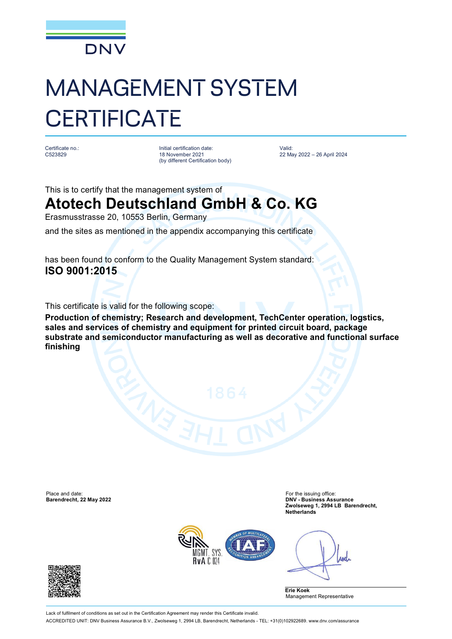

# MANAGEMENT SYSTEM **CERTIFICATE**

Certificate no.: C523829

Initial certification date: 18 November 2021 (by different Certification body) Valid: 22 May 2022 – 26 April 2024

This is to certify that the management system of

## **Atotech Deutschland GmbH & Co. KG**

Erasmusstrasse 20, 10553 Berlin, Germany

and the sites as mentioned in the appendix accompanying this certificate

has been found to conform to the Quality Management System standard: **ISO 9001:2015**

This certificate is valid for the following scope:

**Production of chemistry; Research and development, TechCenter operation, logstics, sales and services of chemistry and equipment for printed circuit board, package substrate and semiconductor manufacturing as well as decorative and functional surface finishing**

Place and date: For the issuing office: For the issuing office: For the issuing office:

**Barendrecht, 22 May 2022 DNV - Business Assurance Zwolseweg 1, 2994 LB Barendrecht, Netherlands**



Anel

**Erie Koek** Management Representative



Lack of fulfilment of conditions as set out in the Certification Agreement may render this Certificate invalid ACCREDITED UNIT: DNV Business Assurance B.V., Zwolseweg 1, 2994 LB, Barendrecht, Netherlands - TEL: +31(0)102922689. [www.dnv.com/assurance](http://www.dnv.com/assurance)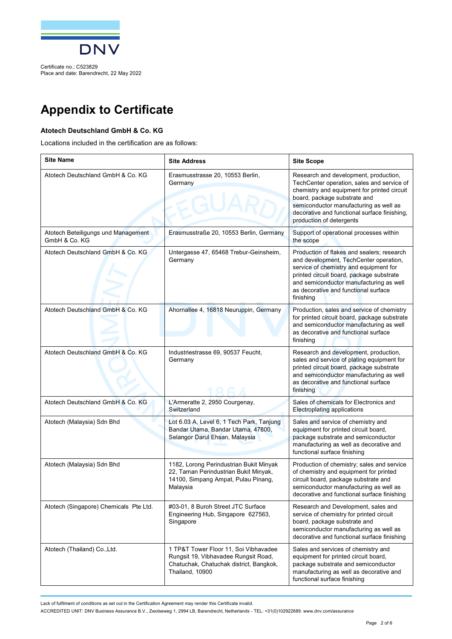

Certificate no.: C523829 Place and date: Barendrecht, 22 May 2022

## **Appendix to Certificate**

### **Atotech Deutschland GmbH & Co. KG**

Locations included in the certification are as follows:

| <b>Site Name</b>                                     | <b>Site Address</b>                                                                                                                         | <b>Site Scope</b>                                                                                                                                                                                                                                                                        |
|------------------------------------------------------|---------------------------------------------------------------------------------------------------------------------------------------------|------------------------------------------------------------------------------------------------------------------------------------------------------------------------------------------------------------------------------------------------------------------------------------------|
| Atotech Deutschland GmbH & Co. KG                    | Erasmusstrasse 20, 10553 Berlin,<br>Germany                                                                                                 | Research and development, production,<br>TechCenter operation, sales and service of<br>chemistry and equipment for printed circuit<br>board, package substrate and<br>semiconductor manufacturing as well as<br>decorative and functional surface finishing,<br>production of detergents |
| Atotech Beteiligungs und Management<br>GmbH & Co. KG | Erasmusstraße 20, 10553 Berlin, Germany                                                                                                     | Support of operational processes within<br>the scope                                                                                                                                                                                                                                     |
| Atotech Deutschland GmbH & Co. KG                    | Untergasse 47, 65468 Trebur-Geinsheim,<br>Germany                                                                                           | Production of flakes and sealers; research<br>and development, TechCenter operation,<br>service of chemistry and equipment for<br>printed circuit board, package substrate<br>and semiconductor manufacturing as well<br>as decorative and functional surface<br>finishing               |
| Atotech Deutschland GmbH & Co. KG                    | Ahornallee 4, 16818 Neuruppin, Germany                                                                                                      | Production, sales and service of chemistry<br>for printed circuit board, package substrate<br>and semiconductor manufacturing as well<br>as decorative and functional surface<br>finishing                                                                                               |
| Atotech Deutschland GmbH & Co. KG                    | Industriestrasse 69, 90537 Feucht,<br>Germany                                                                                               | Research and development, production,<br>sales and service of plating equipment for<br>printed circuit board, package substrate<br>and semiconductor manufacturing as well<br>as decorative and functional surface<br>finishing                                                          |
| Atotech Deutschland GmbH & Co. KG                    | L'Armeratte 2, 2950 Courgenay,<br>Switzerland                                                                                               | Sales of chemicals for Electronics and<br>Electroplating applications                                                                                                                                                                                                                    |
| Atotech (Malaysia) Sdn Bhd                           | Lot 6.03 A, Level 6, 1 Tech Park, Tanjung<br>Bandar Utama, Bandar Utama, 47800,<br>Selangor Darul Ehsan, Malaysia                           | Sales and service of chemistry and<br>equipment for printed circuit board,<br>package substrate and semiconductor<br>manufacturing as well as decorative and<br>functional surface finishing                                                                                             |
| Atotech (Malaysia) Sdn Bhd                           | 1182, Lorong Perindustrian Bukit Minyak<br>22, Taman Perindustrian Bukit Minyak,<br>14100, Simpang Ampat, Pulau Pinang,<br>Malaysia         | Production of chemistry; sales and service<br>of chemistry and equipment for printed<br>circuit board, package substrate and<br>semiconductor manufacturing as well as<br>decorative and functional surface finishing                                                                    |
| Atotech (Singapore) Chemicals Pte Ltd.               | #03-01, 8 Buroh Street JTC Surface<br>Engineering Hub, Singapore 627563,<br>Singapore                                                       | Research and Development, sales and<br>service of chemistry for printed circuit<br>board, package substrate and<br>semiconductor manufacturing as well as<br>decorative and functional surface finishing                                                                                 |
| Atotech (Thailand) Co., Ltd.                         | 1 TP&T Tower Floor 11, Soi Vibhavadee<br>Rungsit 19, Vibhavadee Rungsit Road,<br>Chatuchak, Chatuchak district, Bangkok,<br>Thailand, 10900 | Sales and services of chemistry and<br>equipment for printed circuit board,<br>package substrate and semiconductor<br>manufacturing as well as decorative and<br>functional surface finishing                                                                                            |

Lack of fulfilment of conditions as set out in the Certification Agreement may render this Certificate invalid.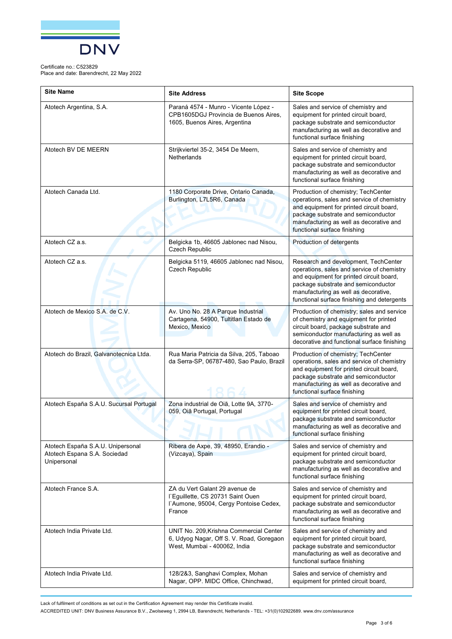

Place and date: Barendrecht, 22 May 2022

| <b>Site Name</b>                                                                 | <b>Site Address</b>                                                                                                     | <b>Site Scope</b>                                                                                                                                                                                                                                            |
|----------------------------------------------------------------------------------|-------------------------------------------------------------------------------------------------------------------------|--------------------------------------------------------------------------------------------------------------------------------------------------------------------------------------------------------------------------------------------------------------|
| Atotech Argentina, S.A.                                                          | Paraná 4574 - Munro - Vicente López -<br>CPB1605DGJ Provincia de Buenos Aires,<br>1605, Buenos Aires, Argentina         | Sales and service of chemistry and<br>equipment for printed circuit board,<br>package substrate and semiconductor<br>manufacturing as well as decorative and<br>functional surface finishing                                                                 |
| Atotech BV DE MEERN                                                              | Strijkviertel 35-2, 3454 De Meern,<br><b>Netherlands</b>                                                                | Sales and service of chemistry and<br>equipment for printed circuit board,<br>package substrate and semiconductor<br>manufacturing as well as decorative and<br>functional surface finishing                                                                 |
| Atotech Canada Ltd.                                                              | 1180 Corporate Drive, Ontario Canada,<br>Burlington, L7L5R6, Canada                                                     | Production of chemistry; TechCenter<br>operations, sales and service of chemistry<br>and equipment for printed circuit board,<br>package substrate and semiconductor<br>manufacturing as well as decorative and<br>functional surface finishing              |
| Atotech CZ a.s.                                                                  | Belgicka 1b, 46605 Jablonec nad Nisou,<br>Czech Republic                                                                | Production of detergents                                                                                                                                                                                                                                     |
| Atotech CZ a.s.                                                                  | Belgicka 5119, 46605 Jablonec nad Nisou,<br>Czech Republic                                                              | Research and development, TechCenter<br>operations, sales and service of chemistry<br>and equipment for printed circuit board,<br>package substrate and semiconductor<br>manufacturing as well as decorative,<br>functional surface finishing and detergents |
| Atotech de Mexico S.A. de C.V.                                                   | Av. Uno No. 28 A Parque Industrial<br>Cartagena, 54900, Tultitlan Estado de<br>Mexico, Mexico                           | Production of chemistry; sales and service<br>of chemistry and equipment for printed<br>circuit board, package substrate and<br>semiconductor manufacturing as well as<br>decorative and functional surface finishing                                        |
| Atotech do Brazil, Galvanotecnica Ltda.                                          | Rua Maria Patricia da Silva, 205, Taboao<br>da Serra-SP, 06787-480, Sao Paulo, Brazil                                   | Production of chemistry; TechCenter<br>operations, sales and service of chemistry<br>and equipment for printed circuit board,<br>package substrate and semiconductor<br>manufacturing as well as decorative and<br>functional surface finishing              |
| Atotech España S.A.U. Sucursal Portugal                                          | Zona industrial de Oiã, Lotte 9A, 3770-<br>059, Oiã Portugal, Portugal                                                  | Sales and service of chemistry and<br>equipment for printed circuit board,<br>package substrate and semiconductor<br>manufacturing as well as decorative and<br>functional surface finishing                                                                 |
| Atotech España S.A.U. Unipersonal<br>Atotech Espana S.A. Sociedad<br>Unipersonal | Ribera de Axpe, 39, 48950, Erandio -<br>(Vizcaya), Spain                                                                | Sales and service of chemistry and<br>equipment for printed circuit board,<br>package substrate and semiconductor<br>manufacturing as well as decorative and<br>functional surface finishing                                                                 |
| Atotech France S.A.                                                              | ZA du Vert Galant 29 avenue de<br>l'Eguillette, CS 20731 Saint Ouen<br>l'Aumone, 95004, Cergy Pontoise Cedex,<br>France | Sales and service of chemistry and<br>equipment for printed circuit board,<br>package substrate and semiconductor<br>manufacturing as well as decorative and<br>functional surface finishing                                                                 |
| Atotech India Private Ltd.                                                       | UNIT No. 209, Krishna Commercial Center<br>6, Udyog Nagar, Off S. V. Road, Goregaon<br>West, Mumbai - 400062, India     | Sales and service of chemistry and<br>equipment for printed circuit board,<br>package substrate and semiconductor<br>manufacturing as well as decorative and<br>functional surface finishing                                                                 |
| Atotech India Private Ltd.                                                       | 128/2&3, Sanghavi Complex, Mohan<br>Nagar, OPP. MIDC Office, Chinchwad,                                                 | Sales and service of chemistry and<br>equipment for printed circuit board,                                                                                                                                                                                   |

Lack of fulfilment of conditions as set out in the Certification Agreement may render this Certificate invalid.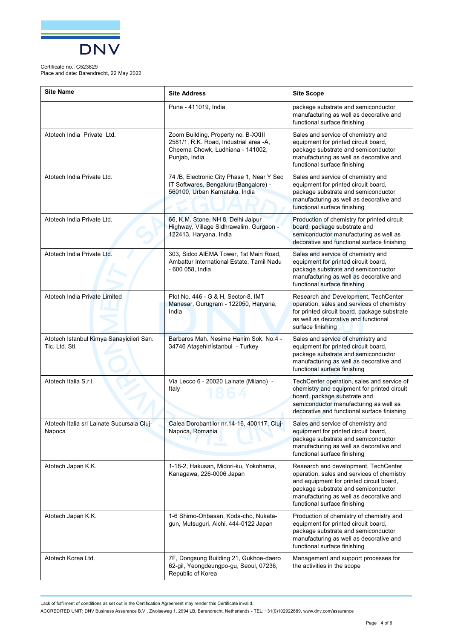

Place and date: Barendrecht, 22 May 2022

| <b>Site Name</b>                                           | <b>Site Address</b>                                                                                                                | <b>Site Scope</b>                                                                                                                                                                                                                                |
|------------------------------------------------------------|------------------------------------------------------------------------------------------------------------------------------------|--------------------------------------------------------------------------------------------------------------------------------------------------------------------------------------------------------------------------------------------------|
|                                                            | Pune - 411019, India                                                                                                               | package substrate and semiconductor<br>manufacturing as well as decorative and<br>functional surface finishing                                                                                                                                   |
| Atotech India Private Ltd.                                 | Zoom Building, Property no. B-XXIII<br>2581/1, R.K. Road, Industrial area -A,<br>Cheema Chowk, Ludhiana - 141002,<br>Punjab, India | Sales and service of chemistry and<br>equipment for printed circuit board,<br>package substrate and semiconductor<br>manufacturing as well as decorative and<br>functional surface finishing                                                     |
| Atotech India Private Ltd.                                 | 74 /B, Electronic City Phase 1, Near Y Sec<br>IT Softwares, Bengaluru (Bangalore) -<br>560100, Urban Karnataka, India              | Sales and service of chemistry and<br>equipment for printed circuit board,<br>package substrate and semiconductor<br>manufacturing as well as decorative and<br>functional surface finishing                                                     |
| Atotech India Private Ltd.                                 | 66, K.M. Stone, NH 8, Delhi Jaipur<br>Highway, Village Sidhrawalim, Gurgaon -<br>122413, Haryana, India                            | Production of chemistry for printed circuit<br>board, package substrate and<br>semiconductor manufacturing as well as<br>decorative and functional surface finishing                                                                             |
| Atotech India Private Ltd.                                 | 303, Sidco AIEMA Tower, 1st Main Road,<br>Ambattur International Estate, Tamil Nadu<br>- 600 058, India                            | Sales and service of chemistry and<br>equipment for printed circuit board,<br>package substrate and semiconductor<br>manufacturing as well as decorative and<br>functional surface finishing                                                     |
| Atotech India Private Limited                              | Plot No. 446 - G & H, Sector-8, IMT<br>Manesar, Gurugram - 122050, Haryana,<br>India                                               | Research and Development, TechCenter<br>operation, sales and services of chemistry<br>for printed circuit board, package substrate<br>as well as decorative and functional<br>surface finishing                                                  |
| Atotech Istanbul Kimya Sanayicileri San.<br>Tic. Ltd. Sti. | Barbaros Mah. Nesime Hanim Sok. No:4 -<br>34746 Ataşehir/İstanbul - Turkey                                                         | Sales and service of chemistry and<br>equipment for printed circuit board,<br>package substrate and semiconductor<br>manufacturing as well as decorative and<br>functional surface finishing                                                     |
| Atotech Italia S.r.I.                                      | Via Lecco 6 - 20020 Lainate (Milano) -<br>Italy                                                                                    | TechCenter operation, sales and service of<br>chemistry and equipment for printed circuit<br>board, package substrate and<br>semiconductor manufacturing as well as<br>decorative and functional surface finishing                               |
| Atotech Italia srl Lainate Sucursala Cluj-<br>Napoca       | Calea Dorobantilor nr.14-16, 400117, Cluj-<br>Napoca, Romania                                                                      | Sales and service of chemistry and<br>equipment for printed circuit board,<br>package substrate and semiconductor<br>manufacturing as well as decorative and<br>functional surface finishing                                                     |
| Atotech Japan K.K.                                         | 1-18-2, Hakusan, Midori-ku, Yokohama,<br>Kanagawa, 226-0006 Japan                                                                  | Research and development, TechCenter<br>operation, sales and services of chemistry<br>and equipment for printed circuit board,<br>package substrate and semiconductor<br>manufacturing as well as decorative and<br>functional surface finishing |
| Atotech Japan K.K.                                         | 1-6 Shimo-Ohbasan, Koda-cho, Nukata-<br>gun, Mutsuguri, Aichi, 444-0122 Japan                                                      | Production of chemistry of chemistry and<br>equipment for printed circuit board,<br>package substrate and semiconductor<br>manufacturing as well as decorative and<br>functional surface finishing                                               |
| Atotech Korea Ltd.                                         | 7F, Dongsung Building 21, Gukhoe-daero<br>62-gil, Yeongdeungpo-gu, Seoul, 07236,<br>Republic of Korea                              | Management and support processes for<br>the activities in the scope                                                                                                                                                                              |

Lack of fulfilment of conditions as set out in the Certification Agreement may render this Certificate invalid.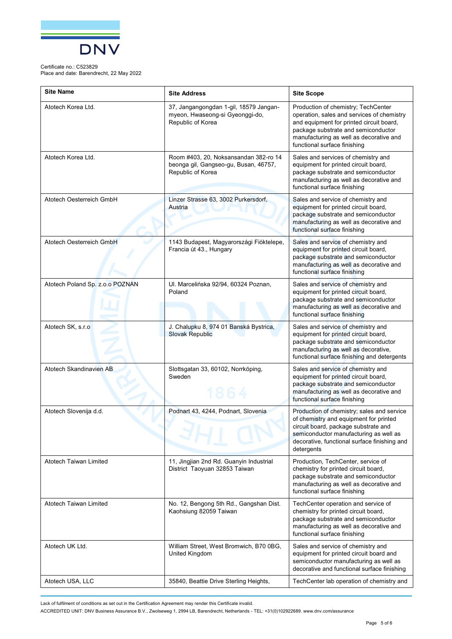

Place and date: Barendrecht, 22 May 2022

| <b>Site Name</b>                | <b>Site Address</b>                                                                                 | <b>Site Scope</b>                                                                                                                                                                                                                               |
|---------------------------------|-----------------------------------------------------------------------------------------------------|-------------------------------------------------------------------------------------------------------------------------------------------------------------------------------------------------------------------------------------------------|
| Atotech Korea Ltd.              | 37, Jangangongdan 1-gil, 18579 Jangan-<br>myeon, Hwaseong-si Gyeonggi-do,<br>Republic of Korea      | Production of chemistry; TechCenter<br>operation, sales and services of chemistry<br>and equipment for printed circuit board,<br>package substrate and semiconductor<br>manufacturing as well as decorative and<br>functional surface finishing |
| Atotech Korea Ltd.              | Room #403, 20, Noksansandan 382-ro 14<br>beonga gil, Gangseo-gu, Busan, 46757,<br>Republic of Korea | Sales and services of chemistry and<br>equipment for printed circuit board,<br>package substrate and semiconductor<br>manufacturing as well as decorative and<br>functional surface finishing                                                   |
| Atotech Oesterreich GmbH        | Linzer Strasse 63, 3002 Purkersdorf,<br>Austria                                                     | Sales and service of chemistry and<br>equipment for printed circuit board,<br>package substrate and semiconductor<br>manufacturing as well as decorative and<br>functional surface finishing                                                    |
| Atotech Oesterreich GmbH        | 1143 Budapest, Magyarországi Fióktelepe,<br>Francia út 43., Hungary                                 | Sales and service of chemistry and<br>equipment for printed circuit board,<br>package substrate and semiconductor<br>manufacturing as well as decorative and<br>functional surface finishing                                                    |
| Atotech Poland Sp. z.o.o POZNAN | Ul. Marcelińska 92/94, 60324 Poznan,<br>Poland                                                      | Sales and service of chemistry and<br>equipment for printed circuit board,<br>package substrate and semiconductor<br>manufacturing as well as decorative and<br>functional surface finishing                                                    |
| Atotech SK, s.r.o               | J. Chalupku 8, 974 01 Banská Bystrica,<br><b>Slovak Republic</b>                                    | Sales and service of chemistry and<br>equipment for printed circuit board,<br>package substrate and semiconductor<br>manufacturing as well as decorative,<br>functional surface finishing and detergents                                        |
| Atotech Skandinavien AB         | Slottsgatan 33, 60102, Norrköping,<br>Sweden<br>1864                                                | Sales and service of chemistry and<br>equipment for printed circuit board,<br>package substrate and semiconductor<br>manufacturing as well as decorative and<br>functional surface finishing                                                    |
| Atotech Slovenija d.d.          | Podnart 43, 4244, Podnart, Slovenia                                                                 | Production of chemistry; sales and service<br>of chemistry and equipment for printed<br>circuit board, package substrate and<br>semiconductor manufacturing as well as<br>decorative, functional surface finishing and<br>detergents            |
| Atotech Taiwan Limited          | 11, Jingjian 2nd Rd. Guanyin Industrial<br>District Taoyuan 32853 Taiwan                            | Production, TechCenter, service of<br>chemistry for printed circuit board,<br>package substrate and semiconductor<br>manufacturing as well as decorative and<br>functional surface finishing                                                    |
| <b>Atotech Taiwan Limited</b>   | No. 12, Bengong 5th Rd., Gangshan Dist.<br>Kaohsiung 82059 Taiwan                                   | TechCenter operation and service of<br>chemistry for printed circuit board,<br>package substrate and semiconductor<br>manufacturing as well as decorative and<br>functional surface finishing                                                   |
| Atotech UK Ltd.                 | William Street, West Bromwich, B70 0BG,<br>United Kingdom                                           | Sales and service of chemistry and<br>equipment for printed circuit board and<br>semiconductor manufacturing as well as<br>decorative and functional surface finishing                                                                          |
| Atotech USA, LLC                | 35840, Beattie Drive Sterling Heights,                                                              | TechCenter lab operation of chemistry and                                                                                                                                                                                                       |

Lack of fulfilment of conditions as set out in the Certification Agreement may render this Certificate invalid.